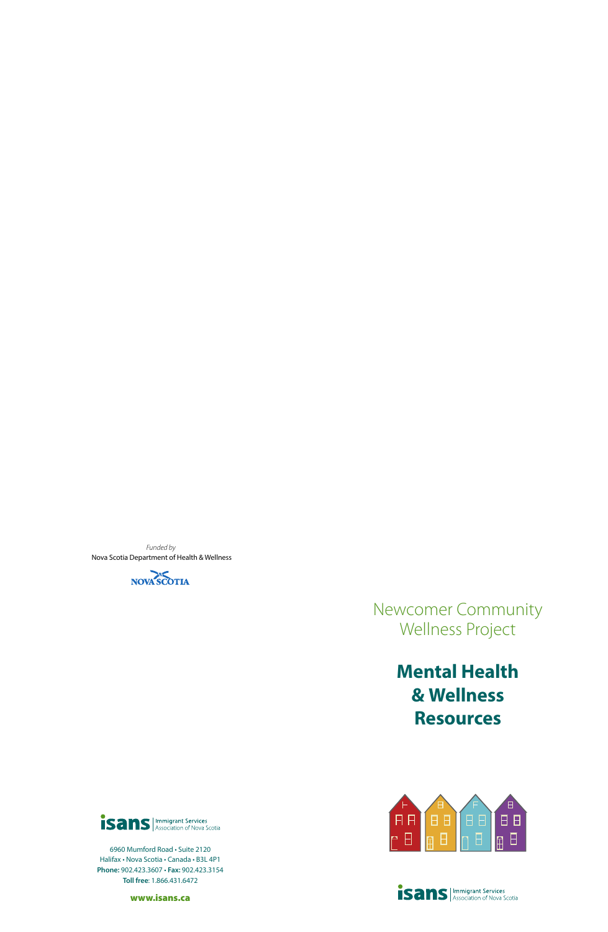*Funded by*  Nova Scotia Department of Health & Wellness



## Newcomer Community Wellness Project

# **Mental Health & Wellness Resources**



6960 Mumford Road • Suite 2120 Halifax • Nova Scotia • Canada • B3L 4P1 **Phone:** 902.423.3607 • **Fax:** 902.423.3154 **Toll free**: 1.866.431.6472

www.isans.ca



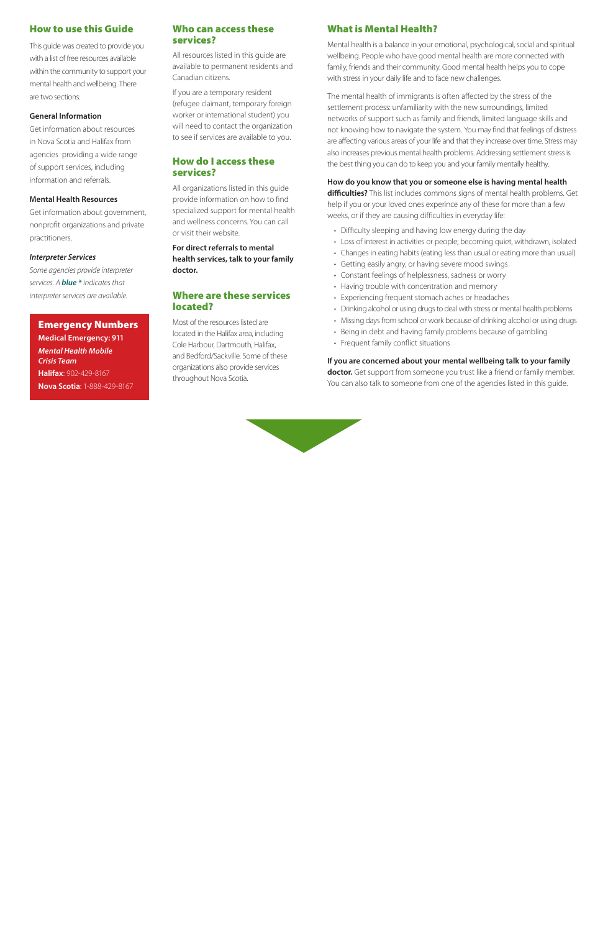## How to use this Guide

This guide was created to provide you with a list of free resources available within the community to support your mental health and wellbeing. There are two sections:

#### **General Information**

Get information about resources in Nova Scotia and Halifax from agencies providing a wide range of support services, including information and referrals.

#### **Mental Health Resources**

Get information about government, nonprofit organizations and private practitioners.

#### *Interpreter Services*

*Some agencies provide interpreter services. A blue \* indicates that interpreter services are available.*

## Emergency Numbers

**Medical Emergency: 911** *Mental Health Mobile Crisis Team* **Halifax**: 902-429-8167 **Nova Scotia**: 1-888-429-8167

### Who can access these services?

All resources listed in this guide are available to permanent residents and Canadian citizens.

If you are a temporary resident (refugee claimant, temporary foreign worker or international student) you will need to contact the organization to see if services are available to you.

## How do I access these services?

All organizations listed in this guide provide information on how to find specialized support for mental health and wellness concerns. You can call or visit their website.

**For direct referrals to mental health services, talk to your family doctor.**

#### Where are these services located?

Most of the resources listed are located in the Halifax area, including Cole Harbour, Dartmouth, Halifax, and Bedford/Sackville. Some of these organizations also provide services throughout Nova Scotia.

## What is Mental Health?

Mental health is a balance in your emotional, psychological, social and spiritual wellbeing. People who have good mental health are more connected with family, friends and their community. Good mental health helps you to cope with stress in your daily life and to face new challenges.

The mental health of immigrants is often affected by the stress of the settlement process: unfamiliarity with the new surroundings, limited networks of support such as family and friends, limited language skills and not knowing how to navigate the system. You may find that feelings of distress are affecting various areas of your life and that they increase over time. Stress may also increases previous mental health problems. Addressing settlement stress is the best thing you can do to keep you and your family mentally healthy.

#### **How do you know that you or someone else is having mental health**

**difficulties?** This list includes commons signs of mental health problems. Get help if you or your loved ones experince any of these for more than a few weeks, or if they are causing difficulties in everyday life:

- Difficulty sleeping and having low energy during the day
- Loss of interest in activities or people; becoming quiet, withdrawn, isolated
- Changes in eating habits (eating less than usual or eating more than usual)
- Getting easily angry, or having severe mood swings
- Constant feelings of helplessness, sadness or worry
- Having trouble with concentration and memory
- Experiencing frequent stomach aches or headaches
- Drinking alcohol or using drugs to deal with stress or mental health problems
- Missing days from school or work because of drinking alcohol or using drugs
- Being in debt and having family problems because of gambling
- Frequent family conflict situations

**If you are concerned about your mental wellbeing talk to your family doctor.** Get support from someone you trust like a friend or family member. You can also talk to someone from one of the agencies listed in this guide.